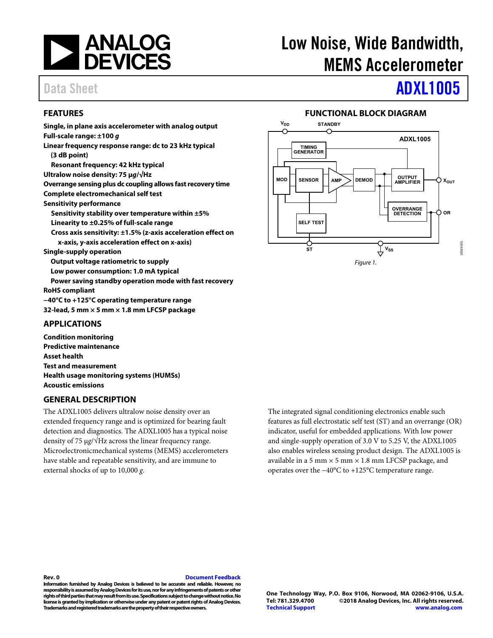

# Low Noise, Wide Bandwidth, MEMS Accelerometer

# Data Sheet **[ADXL1005](http://www.analog.com/ADXL1005?doc=ADXL1005.pdf)**

### <span id="page-0-0"></span>**FEATURES**

**Single, in plane axis accelerometer with analog output Full-scale range: ±100 g Linear frequency response range: dc to 23 kHz typical (3 dB point) Resonant frequency: 42 kHz typical Ultralow noise density: 75 μg/√Hz Overrange sensing plus dc coupling allows fast recovery time Complete electromechanical self test Sensitivity performance Sensitivity stability over temperature within ±5% Linearity to ±0.25% of full-scale range Cross axis sensitivity: ±1.5% (z-axis acceleration effect on x-axis, y-axis acceleration effect on x-axis) Single-supply operation Output voltage ratiometric to supply Low power consumption: 1.0 mA typical Power saving standby operation mode with fast recovery RoHS compliant −40°C to +125°C operating temperature range 32-lead, 5 mm × 5 mm × 1.8 mm LFCSP package** 

### <span id="page-0-1"></span>**APPLICATIONS**

**Condition monitoring Predictive maintenance Asset health Test and measurement Health usage monitoring systems (HUMSs) Acoustic emissions** 

### <span id="page-0-3"></span>**GENERAL DESCRIPTION**

The ADXL1005 delivers ultralow noise density over an extended frequency range and is optimized for bearing fault detection and diagnostics. The ADXL1005 has a typical noise density of 75 μ*g*/√Hz across the linear frequency range. Microelectronicmechanical systems (MEMS) accelerometers have stable and repeatable sensitivity, and are immune to external shocks of up to 10,000 *g*.

**FUNCTIONAL BLOCK DIAGRAM** 

<span id="page-0-2"></span>

The integrated signal conditioning electronics enable such features as full electrostatic self test (ST) and an overrange (OR) indicator, useful for embedded applications. With low power and single-supply operation of 3.0 V to 5.25 V, the ADXL1005 also enables wireless sensing product design. The ADXL1005 is available in a 5 mm  $\times$  5 mm  $\times$  1.8 mm LFCSP package, and operates over the −40°C to +125°C temperature range.

### **Rev. 0 [Document Feedback](https://form.analog.com/Form_Pages/feedback/documentfeedback.aspx?doc=ADXL1005.pdf&product=ADXL1005&rev=0)**

**Information furnished by Analog Devices is believed to be accurate and reliable. However, no responsibility is assumed by Analog Devices for its use, nor for any infringements of patents or other rights of third parties that may result from its use. Specifications subject to change without notice. No license is granted by implication or otherwise under any patent or patent rights of Analog Devices. Trademarks and registered trademarks are the property of their respective owners.**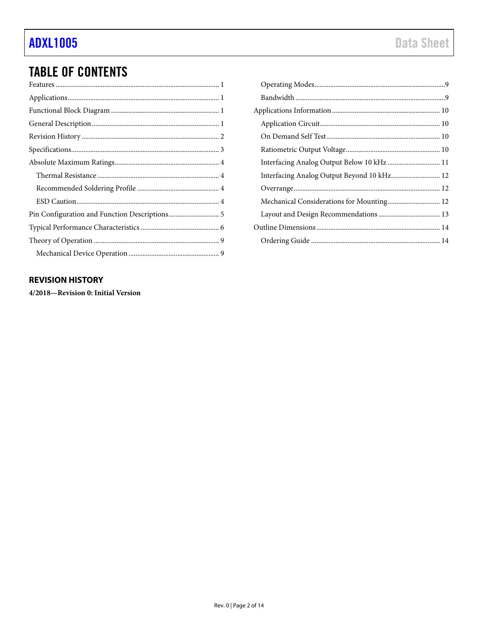## **TABLE OF CONTENTS**

| $\label{lem:main} The \emph{rmal} \emph{Resistance} \emph{} \emph{} \emph{} \emph{} \emph{} \emph{} \emph{} \emph{} \emph{} \emph{} \emph{}$ |
|----------------------------------------------------------------------------------------------------------------------------------------------|
|                                                                                                                                              |
|                                                                                                                                              |
|                                                                                                                                              |
|                                                                                                                                              |
|                                                                                                                                              |
|                                                                                                                                              |

### <span id="page-1-0"></span>**REVISION HISTORY**

4/2018-Revision 0: Initial Version

| Interfacing Analog Output Below 10 kHz  11 |  |
|--------------------------------------------|--|
| Interfacing Analog Output Beyond 10 kHz 12 |  |
|                                            |  |
| Mechanical Considerations for Mounting 12  |  |
|                                            |  |
|                                            |  |
|                                            |  |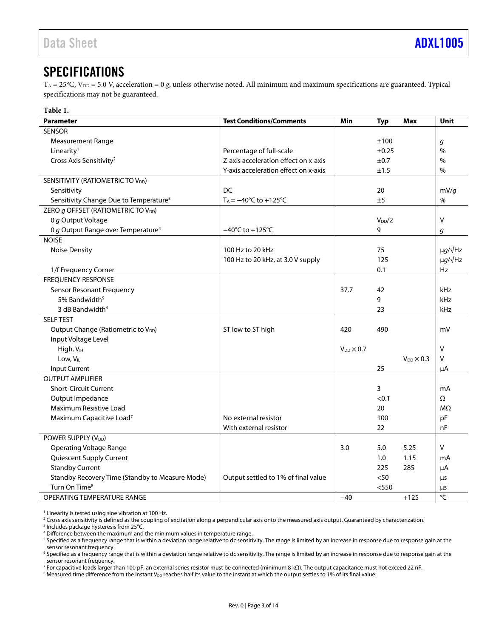## <span id="page-2-0"></span>**SPECIFICATIONS**

 $T_A = 25^{\circ}$ C, V<sub>DD</sub> = 5.0 V, acceleration = 0 g, unless otherwise noted. All minimum and maximum specifications are guaranteed. Typical specifications may not be guaranteed.

<span id="page-2-1"></span>

| Table 1.                                           |                                         |                     |            |                       |                      |
|----------------------------------------------------|-----------------------------------------|---------------------|------------|-----------------------|----------------------|
| <b>Parameter</b>                                   | <b>Test Conditions/Comments</b>         | Min                 | <b>Typ</b> | Max                   | Unit                 |
| <b>SENSOR</b>                                      |                                         |                     |            |                       |                      |
| <b>Measurement Range</b>                           |                                         |                     | ±100       |                       | g                    |
| Linearity <sup>1</sup>                             | Percentage of full-scale                |                     | $\pm 0.25$ |                       | $\frac{0}{0}$        |
| Cross Axis Sensitivity <sup>2</sup>                | Z-axis acceleration effect on x-axis    |                     | ±0.7       |                       | $\%$                 |
|                                                    | Y-axis acceleration effect on x-axis    |                     | ±1.5       |                       | $\%$                 |
| SENSITIVITY (RATIOMETRIC TO V <sub>DD</sub> )      |                                         |                     |            |                       |                      |
| Sensitivity                                        | <b>DC</b>                               |                     | 20         |                       | mV/g                 |
| Sensitivity Change Due to Temperature <sup>3</sup> | $T_A = -40^{\circ}C$ to $+125^{\circ}C$ |                     | ±5         |                       | $\%$                 |
| ZERO g OFFSET (RATIOMETRIC TO V <sub>DD</sub> )    |                                         |                     |            |                       |                      |
| 0 g Output Voltage                                 |                                         |                     | $V_{DD}/2$ |                       | $\vee$               |
| 0 g Output Range over Temperature <sup>4</sup>     | $-40^{\circ}$ C to $+125^{\circ}$ C     |                     | 9          |                       | g                    |
| <b>NOISE</b>                                       |                                         |                     |            |                       |                      |
| <b>Noise Density</b>                               | 100 Hz to 20 kHz                        |                     | 75         |                       | $\mu q / \sqrt{Hz}$  |
|                                                    | 100 Hz to 20 kHz, at 3.0 V supply       |                     | 125        |                       | $\mu$ g/ $\sqrt{Hz}$ |
| 1/f Frequency Corner                               |                                         |                     | 0.1        |                       | Hz                   |
| <b>FREQUENCY RESPONSE</b>                          |                                         |                     |            |                       |                      |
| Sensor Resonant Frequency                          |                                         | 37.7                | 42         |                       | kHz                  |
| 5% Bandwidth <sup>5</sup>                          |                                         |                     | 9          |                       | kHz                  |
| 3 dB Bandwidth <sup>6</sup>                        |                                         |                     | 23         |                       | kHz                  |
| <b>SELF TEST</b>                                   |                                         |                     |            |                       |                      |
| Output Change (Ratiometric to V <sub>DD</sub> )    | ST low to ST high                       | 420                 | 490        |                       | mV                   |
| Input Voltage Level                                |                                         |                     |            |                       |                      |
| High, V <sub>IH</sub>                              |                                         | $V_{DD} \times 0.7$ |            |                       | $\vee$               |
| Low, V <sub>IL</sub>                               |                                         |                     |            | $V_{DD}$ $\times$ 0.3 | V                    |
| <b>Input Current</b>                               |                                         |                     | 25         |                       | μA                   |
| <b>OUTPUT AMPLIFIER</b>                            |                                         |                     |            |                       |                      |
| <b>Short-Circuit Current</b>                       |                                         |                     | 3          |                       | mA                   |
| Output Impedance                                   |                                         |                     | < 0.1      |                       | Ω                    |
| Maximum Resistive Load                             |                                         |                     | 20         |                       | $M\Omega$            |
| Maximum Capacitive Load <sup>7</sup>               | No external resistor                    |                     | 100        |                       | pF                   |
|                                                    | With external resistor                  |                     | 22         |                       | nF                   |
| POWER SUPPLY (V <sub>DD</sub> )                    |                                         |                     |            |                       |                      |
| <b>Operating Voltage Range</b>                     |                                         | 3.0                 | 5.0        | 5.25                  | $\vee$               |
| Quiescent Supply Current                           |                                         |                     | 1.0        | 1.15                  | mA                   |
| <b>Standby Current</b>                             |                                         |                     | 225        | 285                   | μA                   |
| Standby Recovery Time (Standby to Measure Mode)    | Output settled to 1% of final value     |                     | $50$       |                       | μs                   |
| Turn On Time <sup>8</sup>                          |                                         |                     | < 550      |                       | μs                   |
| OPERATING TEMPERATURE RANGE                        |                                         | $-40$               |            | $+125$                | °C                   |

 $^1$  Linearity is tested using sine vibration at 100 Hz.<br><sup>2</sup> Cross axis sensitivity is defined as the coupling of

<sup>3</sup> Includes package hysteresis from 25°C.

<sup>7</sup> For capacitive loads larger than 100 pF, an external series resistor must be connected (minimum 8 kΩ). The output capacitance must not exceed 22 nF.<br><sup>8</sup> Measured time difference from the instant Vee reaches half its v

 $8$  Measured time difference from the instant V<sub>DD</sub> reaches half its value to the instant at which the output settles to 1% of its final value.

<sup>&</sup>lt;sup>2</sup> Cross axis sensitivity is defined as the coupling of excitation along a perpendicular axis onto the measured axis output. Guaranteed by characterization.<br><sup>3</sup> Includes package bysteresis from 25°C

 $^4$  Difference between the maximum and the minimum values in temperature range.<br><sup>5</sup> Specified as a frequency range that is within a deviation range relative to do sensiti

<sup>&</sup>lt;sup>5</sup> Specified as a frequency range that is within a deviation range relative to dc sensitivity. The range is limited by an increase in response due to response gain at the sensor resonant frequency.

<sup>&</sup>lt;sup>6</sup> Specified as a frequency range that is within a deviation range relative to dc sensitivity. The range is limited by an increase in response due to response gain at the sensor resonant frequency.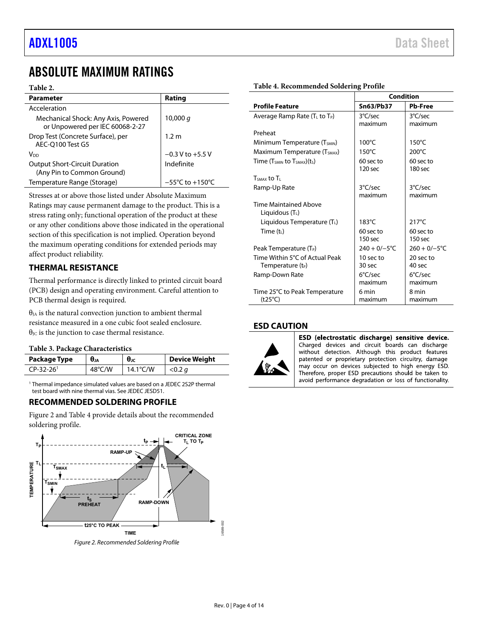## <span id="page-3-0"></span>ABSOLUTE MAXIMUM RATINGS

### **Table 2.**

| Parameter                                                              | Rating                              |
|------------------------------------------------------------------------|-------------------------------------|
| Acceleration                                                           |                                     |
| Mechanical Shock: Any Axis, Powered<br>or Unpowered per IEC 60068-2-27 | 10,000 $q$                          |
| Drop Test (Concrete Surface), per<br>AEC-Q100 Test G5                  | 1.2 m                               |
| Voo                                                                    | $-0.3$ V to $+5.5$ V                |
| <b>Output Short-Circuit Duration</b><br>(Any Pin to Common Ground)     | Indefinite                          |
| Temperature Range (Storage)                                            | $-55^{\circ}$ C to $+150^{\circ}$ C |

Stresses at or above those listed under Absolute Maximum Ratings may cause permanent damage to the product. This is a stress rating only; functional operation of the product at these or any other conditions above those indicated in the operational section of this specification is not implied. Operation beyond the maximum operating conditions for extended periods may affect product reliability.

### <span id="page-3-1"></span>**THERMAL RESISTANCE**

Thermal performance is directly linked to printed circuit board (PCB) design and operating environment. Careful attention to PCB thermal design is required.

 $\theta_{IA}$  is the natural convection junction to ambient thermal resistance measured in a one cubic foot sealed enclosure.  $\theta_{\text{JC}}$  is the junction to case thermal resistance.

### **Table 3. Package Characteristics**

| Package Type            | $\theta_{JA}$    | $\theta_{\rm JC}$  | <b>Device Weight</b> |
|-------------------------|------------------|--------------------|----------------------|
| $CP-32-26$ <sup>1</sup> | $48^{\circ}$ C/W | $14.1^{\circ}$ C/W | $<$ 0.2 $q$          |

1 Thermal impedance simulated values are based on a JEDEC 2S2P thermal test board with nine thermal vias. See JEDEC JESD51.

### <span id="page-3-2"></span>**RECOMMENDED SOLDERING PROFILE**

[Figure 2](#page-3-4) an[d Table 4 p](#page-3-5)rovide details about the recommended soldering profile.



<span id="page-3-4"></span>Figure 2. Recommended Soldering Profile

|                                                   | <b>Condition</b>   |                   |  |
|---------------------------------------------------|--------------------|-------------------|--|
| <b>Profile Feature</b>                            | <b>Sn63/Pb37</b>   | <b>Pb-Free</b>    |  |
| Average Ramp Rate ( $T_L$ to $T_P$ )              | 3°C/sec            | 3°C/sec           |  |
|                                                   | maximum            | maximum           |  |
| Preheat                                           |                    |                   |  |
| Minimum Temperature (T <sub>SMIN</sub> )          | $100^{\circ}$ C    | $150^{\circ}$ C   |  |
| Maximum Temperature (T <sub>SMAX</sub> )          | $150^{\circ}$ C    | 200°C             |  |
| Time (Tsmin to Tsmax)(ts)                         | 60 sec to          | 60 sec to         |  |
|                                                   | 120 <sub>sec</sub> | $180$ sec         |  |
| $TSMAY$ to $T1$                                   |                    |                   |  |
| Ramp-Up Rate                                      | 3°C/sec            | 3°C/sec           |  |
|                                                   | maximum            | maximum           |  |
| <b>Time Maintained Above</b><br>Liquidous $(T_L)$ |                    |                   |  |
| Liquidous Temperature (TL)                        | $183^{\circ}$ C    | $217^{\circ}$ C   |  |
| Time $(t_1)$                                      | 60 sec to          | 60 sec to         |  |
|                                                   | 150 <sub>sec</sub> | $150$ sec         |  |
| Peak Temperature (T <sub>P</sub> )                | $240 + 0/-5$ °C    | $260 + 0/-5$ °C   |  |
| Time Within 5°C of Actual Peak                    | 10 sec to          | 20 sec to         |  |
| Temperature $(t_P)$                               | 30 sec             | 40 sec            |  |
| Ramp-Down Rate                                    | $6^{\circ}$ C/sec  | $6^{\circ}$ C/sec |  |
|                                                   | maximum            | maximum           |  |
| Time 25°C to Peak Temperature                     | 6 min              | 8 min             |  |
| $(t25^{\circ}C)$                                  | maximum            | maximum           |  |

### <span id="page-3-3"></span>**ESD CAUTION**



ESD (electrostatic discharge) sensitive device. Charged devices and circuit boards can discharge without detection. Although this product features patented or proprietary protection circuitry, damage may occur on devices subjected to high energy ESD. Therefore, proper ESD precautions should be taken to avoid performance degradation or loss of functionality.

### <span id="page-3-5"></span>**Table 4. Recommended Soldering Profile**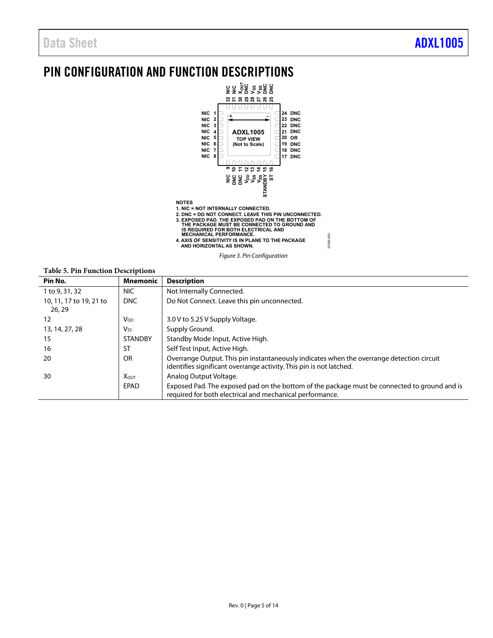## <span id="page-4-0"></span>PIN CONFIGURATION AND FUNCTION DESCRIPTIONS



### Figure 3. Pin Configuration

16589-003

6589-003

### **Table 5. Pin Function Descriptions**

| Pin No.                           | <b>Mnemonic</b>       | <b>Description</b>                                                                                                                                               |
|-----------------------------------|-----------------------|------------------------------------------------------------------------------------------------------------------------------------------------------------------|
| 1 to 9, 31, 32                    | NIC.                  | Not Internally Connected.                                                                                                                                        |
| 10, 11, 17 to 19, 21 to<br>26, 29 | <b>DNC</b>            | Do Not Connect. Leave this pin unconnected.                                                                                                                      |
| 12                                | $V_{DD}$              | 3.0 V to 5.25 V Supply Voltage.                                                                                                                                  |
| 13, 14, 27, 28                    | <b>V<sub>ss</sub></b> | Supply Ground.                                                                                                                                                   |
| 15                                | <b>STANDBY</b>        | Standby Mode Input, Active High.                                                                                                                                 |
| 16                                | ST                    | Self Test Input, Active High.                                                                                                                                    |
| 20                                | <b>OR</b>             | Overrange Output. This pin instantaneously indicates when the overrange detection circuit<br>identifies significant overrange activity. This pin is not latched. |
| 30                                | <b>XOUT</b>           | Analog Output Voltage.                                                                                                                                           |
|                                   | EPAD                  | Exposed Pad. The exposed pad on the bottom of the package must be connected to ground and is<br>required for both electrical and mechanical performance.         |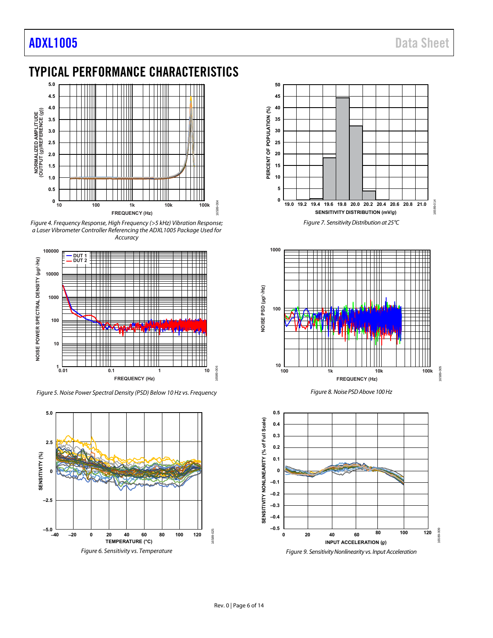## <span id="page-5-0"></span>TYPICAL PERFORMANCE CHARACTERISTICS



<span id="page-5-1"></span>Figure 4. Frequency Response, High Frequency (>5 kHz) Vibration Response; a Laser Vibrometer Controller Referencing the ADXL1005 Package Used for Accuracy



Figure 5. Noise Power Spectral Density (PSD) Below 10 Hz vs. Frequency







Figure 8. Noise PSD Above 100 Hz

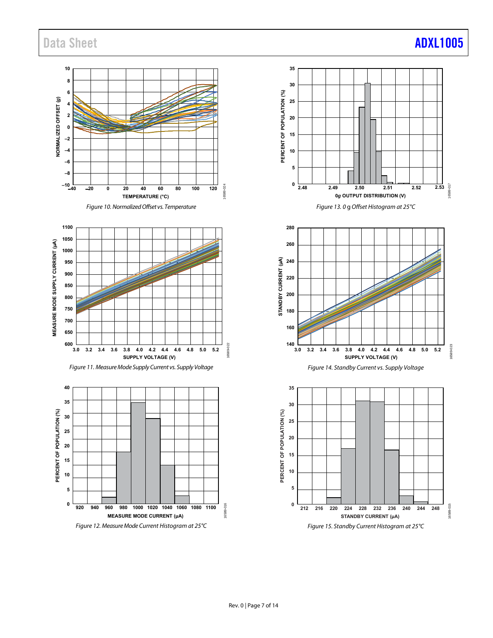Data Sheet **[ADXL1005](http://www.analog.com/ADXL1005?doc=ADXL1005.pdf)** 

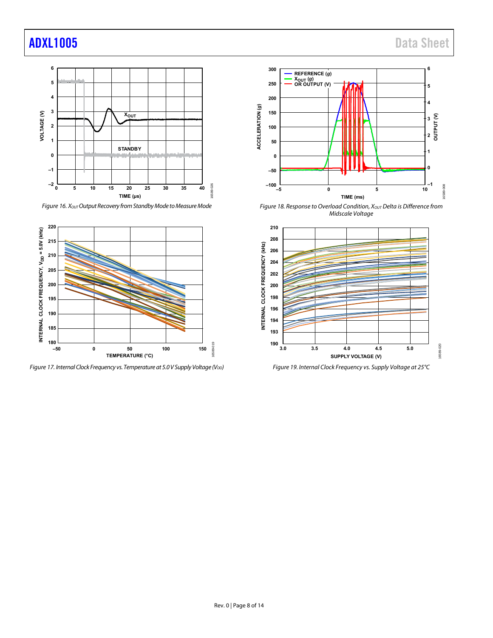

<span id="page-7-0"></span>Figure 16.  $X_{OUT}$  Output Recovery from Standby Mode to Measure Mode



Figure 17. Internal Clock Frequency vs. Temperature at 5.0 V Supply Voltage (V<sub>DD</sub>)



<span id="page-7-1"></span>Figure 18. Response to Overload Condition,  $X_{OUT}$  Delta is Difference from Midscale Voltage



Figure 19. Internal Clock Frequency vs. Supply Voltage at 25°C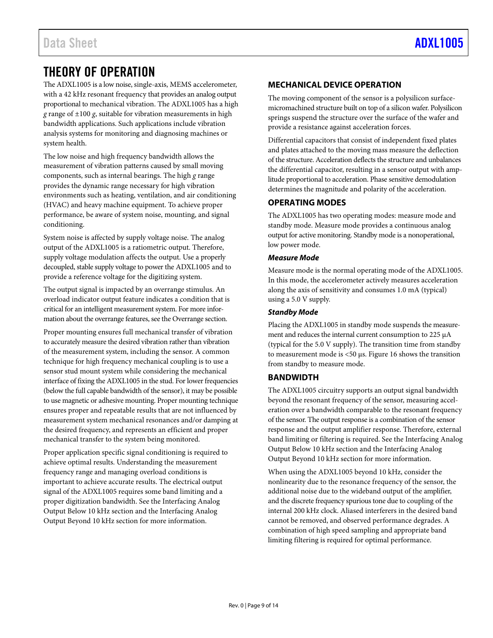## <span id="page-8-0"></span>THEORY OF OPERATION

The ADXL1005 is a low noise, single-axis, MEMS accelerometer, with a 42 kHz resonant frequency that provides an analog output proportional to mechanical vibration. The ADXL1005 has a high *g* range of ±100 *g*, suitable for vibration measurements in high bandwidth applications. Such applications include vibration analysis systems for monitoring and diagnosing machines or system health.

The low noise and high frequency bandwidth allows the measurement of vibration patterns caused by small moving components, such as internal bearings. The high *g* range provides the dynamic range necessary for high vibration environments such as heating, ventilation, and air conditioning (HVAC) and heavy machine equipment. To achieve proper performance, be aware of system noise, mounting, and signal conditioning.

System noise is affected by supply voltage noise. The analog output of the ADXL1005 is a ratiometric output. Therefore, supply voltage modulation affects the output. Use a properly decoupled, stable supply voltage to power the ADXL1005 and to provide a reference voltage for the digitizing system.

The output signal is impacted by an overrange stimulus. An overload indicator output feature indicates a condition that is critical for an intelligent measurement system. For more information about the overrange features, see th[e Overrange s](#page-11-1)ection.

Proper mounting ensures full mechanical transfer of vibration to accurately measure the desired vibration rather than vibration of the measurement system, including the sensor. A common technique for high frequency mechanical coupling is to use a sensor stud mount system while considering the mechanical interface of fixing the ADXL1005 in the stud. For lower frequencies (below the full capable bandwidth of the sensor), it may be possible to use magnetic or adhesive mounting. Proper mounting technique ensures proper and repeatable results that are not influenced by measurement system mechanical resonances and/or damping at the desired frequency, and represents an efficient and proper mechanical transfer to the system being monitored.

Proper application specific signal conditioning is required to achieve optimal results. Understanding the measurement frequency range and managing overload conditions is important to achieve accurate results. The electrical output signal of the ADXL1005 requires some band limiting and a proper digitization bandwidth. See the [Interfacing Analog](#page-10-0)  [Output Below 10 kHz s](#page-10-0)ection and th[e Interfacing Analog](#page-11-0)  [Output Beyond 10 kHz](#page-11-0) section for more information.

### <span id="page-8-1"></span>**MECHANICAL DEVICE OPERATION**

The moving component of the sensor is a polysilicon surfacemicromachined structure built on top of a silicon wafer. Polysilicon springs suspend the structure over the surface of the wafer and provide a resistance against acceleration forces.

Differential capacitors that consist of independent fixed plates and plates attached to the moving mass measure the deflection of the structure. Acceleration deflects the structure and unbalances the differential capacitor, resulting in a sensor output with amplitude proportional to acceleration. Phase sensitive demodulation determines the magnitude and polarity of the acceleration.

### <span id="page-8-2"></span>**OPERATING MODES**

The ADXL1005 has two operating modes: measure mode and standby mode. Measure mode provides a continuous analog output for active monitoring. Standby mode is a nonoperational, low power mode.

### **Measure Mode**

Measure mode is the normal operating mode of the ADXL1005. In this mode, the accelerometer actively measures acceleration along the axis of sensitivity and consumes 1.0 mA (typical) using a 5.0 V supply.

### **Standby Mode**

Placing the ADXL1005 in standby mode suspends the measurement and reduces the internal current consumption to 225 μA (typical for the 5.0 V supply). The transition time from standby to measurement mode is <50 μs. [Figure 16 s](#page-7-0)hows the transition from standby to measure mode.

### <span id="page-8-3"></span>**BANDWIDTH**

The ADXL1005 circuitry supports an output signal bandwidth beyond the resonant frequency of the sensor, measuring acceleration over a bandwidth comparable to the resonant frequency of the sensor. The output response is a combination of the sensor response and the output amplifier response. Therefore, external band limiting or filtering is required. See th[e Interfacing Analog](#page-10-0)  [Output Below 10 kHz s](#page-10-0)ection and th[e Interfacing Analog](#page-11-0)  [Output Beyond 10 kHz](#page-11-0) section for more information.

When using the ADXL1005 beyond 10 kHz, consider the nonlinearity due to the resonance frequency of the sensor, the additional noise due to the wideband output of the amplifier, and the discrete frequency spurious tone due to coupling of the internal 200 kHz clock. Aliased interferers in the desired band cannot be removed, and observed performance degrades. A combination of high speed sampling and appropriate band limiting filtering is required for optimal performance.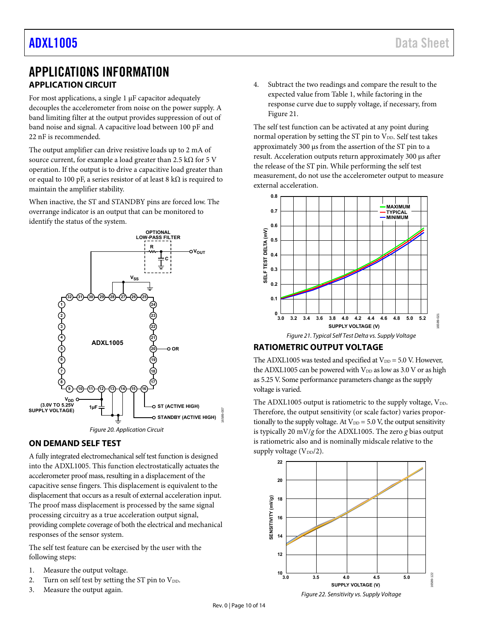## <span id="page-9-1"></span><span id="page-9-0"></span>APPLICATIONS INFORMATION **APPLICATION CIRCUIT**

For most applications, a single 1 μF capacitor adequately decouples the accelerometer from noise on the power supply. A band limiting filter at the output provides suppression of out of band noise and signal. A capacitive load between 100 pF and 22 nF is recommended.

The output amplifier can drive resistive loads up to 2 mA of source current, for example a load greater than 2.5 kΩ for 5 V operation. If the output is to drive a capacitive load greater than or equal to 100 pF, a series resistor of at least 8 kΩ is required to maintain the amplifier stability.

When inactive, the ST and STANDBY pins are forced low. The overrange indicator is an output that can be monitored to identify the status of the system.



### <span id="page-9-2"></span>**ON DEMAND SELF TEST**

A fully integrated electromechanical self test function is designed into the ADXL1005. This function electrostatically actuates the accelerometer proof mass, resulting in a displacement of the capacitive sense fingers. This displacement is equivalent to the displacement that occurs as a result of external acceleration input. The proof mass displacement is processed by the same signal processing circuitry as a true acceleration output signal, providing complete coverage of both the electrical and mechanical responses of the sensor system.

The self test feature can be exercised by the user with the following steps:

- 1. Measure the output voltage.
- 2. Turn on self test by setting the ST pin to  $V_{DD}$ .
- 3. Measure the output again.

4. Subtract the two readings and compare the result to the expected value from [Table 1,](#page-2-1) while factoring in the response curve due to supply voltage, if necessary, from [Figure 21.](#page-9-4) 

The self test function can be activated at any point during normal operation by setting the ST pin to  $V_{DD}$ . Self test takes approximately 300 μs from the assertion of the ST pin to a result. Acceleration outputs return approximately 300 μs after the release of the ST pin. While performing the self test measurement, do not use the accelerometer output to measure external acceleration.



### <span id="page-9-4"></span><span id="page-9-3"></span>**RATIOMETRIC OUTPUT VOLTAGE**

The ADXL1005 was tested and specified at  $V_{DD} = 5.0$  V. However, the ADXL1005 can be powered with  $V_{DD}$  as low as 3.0 V or as high as 5.25 V. Some performance parameters change as the supply voltage is varied.

The ADXL1005 output is ratiometric to the supply voltage,  $V_{DD}$ . Therefore, the output sensitivity (or scale factor) varies proportionally to the supply voltage. At  $V_{DD} = 5.0$  V, the output sensitivity is typically 20 mV/*g* for the ADXL1005. The zero *g* bias output is ratiometric also and is nominally midscale relative to the supply voltage (V<sub>DD</sub>/2).

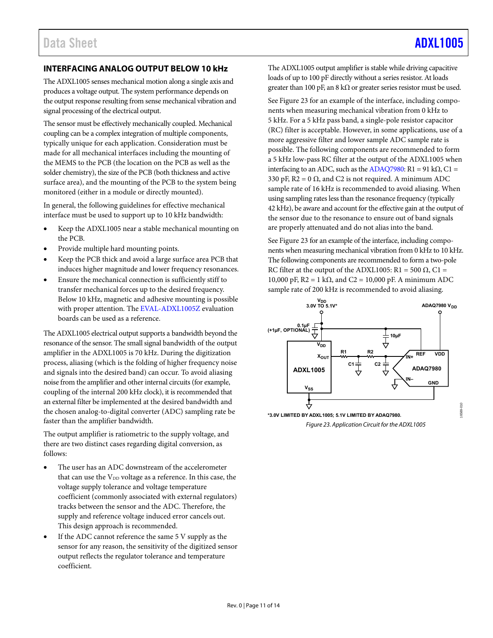### <span id="page-10-0"></span>**INTERFACING ANALOG OUTPUT BELOW 10 kHz**

The ADXL1005 senses mechanical motion along a single axis and produces a voltage output. The system performance depends on the output response resulting from sense mechanical vibration and signal processing of the electrical output.

The sensor must be effectively mechanically coupled. Mechanical coupling can be a complex integration of multiple components, typically unique for each application. Consideration must be made for all mechanical interfaces including the mounting of the MEMS to the PCB (the location on the PCB as well as the solder chemistry), the size of the PCB (both thickness and active surface area), and the mounting of the PCB to the system being monitored (either in a module or directly mounted).

In general, the following guidelines for effective mechanical interface must be used to support up to 10 kHz bandwidth:

- Keep the ADXL1005 near a stable mechanical mounting on the PCB.
- Provide multiple hard mounting points.
- Keep the PCB thick and avoid a large surface area PCB that induces higher magnitude and lower frequency resonances.
- Ensure the mechanical connection is sufficiently stiff to transfer mechanical forces up to the desired frequency. Below 10 kHz, magnetic and adhesive mounting is possible with proper attention. Th[e EVAL-ADXL1005Z e](https://wiki.analog.com/resources/eval/user-guides/inertial-mems/accelerometers/adxl1004?doc=ADXL1005.pdf)valuation boards can be used as a reference.

The ADXL1005 electrical output supports a bandwidth beyond the resonance of the sensor. The small signal bandwidth of the output amplifier in the ADXL1005 is 70 kHz. During the digitization process, aliasing (which is the folding of higher frequency noise and signals into the desired band) can occur. To avoid aliasing noise from the amplifier and other internal circuits (for example, coupling of the internal 200 kHz clock), it is recommended that an external filter be implemented at the desired bandwidth and the chosen analog-to-digital converter (ADC) sampling rate be faster than the amplifier bandwidth.

The output amplifier is ratiometric to the supply voltage, and there are two distinct cases regarding digital conversion, as follows:

- The user has an ADC downstream of the accelerometer that can use the V<sub>DD</sub> voltage as a reference. In this case, the voltage supply tolerance and voltage temperature coefficient (commonly associated with external regulators) tracks between the sensor and the ADC. Therefore, the supply and reference voltage induced error cancels out. This design approach is recommended.
- If the ADC cannot reference the same 5 V supply as the sensor for any reason, the sensitivity of the digitized sensor output reflects the regulator tolerance and temperature coefficient.

The ADXL1005 output amplifier is stable while driving capacitive loads of up to 100 pF directly without a series resistor. At loads greater than 100 pF, an 8 k $\Omega$  or greater series resistor must be used.

Se[e Figure 23 f](#page-10-1)or an example of the interface, including components when measuring mechanical vibration from 0 kHz to 5 kHz. For a 5 kHz pass band, a single-pole resistor capacitor (RC) filter is acceptable. However, in some applications, use of a more aggressive filter and lower sample ADC sample rate is possible. The following components are recommended to form a 5 kHz low-pass RC filter at the output of the ADXL1005 when interfacing to an ADC, such as th[e ADAQ7980:](http://www.analog.com/ADAQ7980?doc=ADXL1005.pdf) R1 = 91 kΩ, C1 = 330 pF,  $R2 = 0 \Omega$ , and C2 is not required. A minimum ADC sample rate of 16 kHz is recommended to avoid aliasing. When using sampling rates less than the resonance frequency (typically 42 kHz), be aware and account for the effective gain at the output of the sensor due to the resonance to ensure out of band signals are properly attenuated and do not alias into the band.

Se[e Figure 23 f](#page-10-1)or an example of the interface, including components when measuring mechanical vibration from 0 kHz to 10 kHz. The following components are recommended to form a two-pole RC filter at the output of the ADXL1005: R1 = 500  $\Omega$ , C1 = 10,000 pF,  $R2 = 1$  kΩ, and C2 = 10,000 pF. A minimum ADC sample rate of 200 kHz is recommended to avoid aliasing.



<span id="page-10-1"></span>Figure 23. Application Circuit for the ADXL1005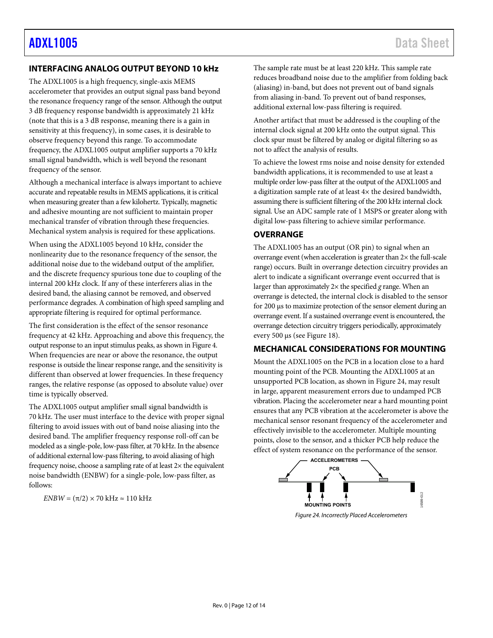### <span id="page-11-0"></span>**INTERFACING ANALOG OUTPUT BEYOND 10 kHz**

The ADXL1005 is a high frequency, single-axis MEMS accelerometer that provides an output signal pass band beyond the resonance frequency range of the sensor. Although the output 3 dB frequency response bandwidth is approximately 21 kHz (note that this is a 3 dB response, meaning there is a gain in sensitivity at this frequency), in some cases, it is desirable to observe frequency beyond this range. To accommodate frequency, the ADXL1005 output amplifier supports a 70 kHz small signal bandwidth, which is well beyond the resonant frequency of the sensor.

Although a mechanical interface is always important to achieve accurate and repeatable results in MEMS applications, it is critical when measuring greater than a few kilohertz. Typically, magnetic and adhesive mounting are not sufficient to maintain proper mechanical transfer of vibration through these frequencies. Mechanical system analysis is required for these applications.

When using the ADXL1005 beyond 10 kHz, consider the nonlinearity due to the resonance frequency of the sensor, the additional noise due to the wideband output of the amplifier, and the discrete frequency spurious tone due to coupling of the internal 200 kHz clock. If any of these interferers alias in the desired band, the aliasing cannot be removed, and observed performance degrades. A combination of high speed sampling and appropriate filtering is required for optimal performance.

The first consideration is the effect of the sensor resonance frequency at 42 kHz. Approaching and above this frequency, the output response to an input stimulus peaks, as shown i[n Figure 4.](#page-5-1) When frequencies are near or above the resonance, the output response is outside the linear response range, and the sensitivity is different than observed at lower frequencies. In these frequency ranges, the relative response (as opposed to absolute value) over time is typically observed.

The ADXL1005 output amplifier small signal bandwidth is 70 kHz. The user must interface to the device with proper signal filtering to avoid issues with out of band noise aliasing into the desired band. The amplifier frequency response roll-off can be modeled as a single-pole, low-pass filter, at 70 kHz. In the absence of additional external low-pass filtering, to avoid aliasing of high frequency noise, choose a sampling rate of at least  $2\times$  the equivalent noise bandwidth (ENBW) for a single-pole, low-pass filter, as follows:

 $ENBW = (\pi/2) \times 70$  kHz  $\approx 110$  kHz

The sample rate must be at least 220 kHz. This sample rate reduces broadband noise due to the amplifier from folding back (aliasing) in-band, but does not prevent out of band signals from aliasing in-band. To prevent out of band responses, additional external low-pass filtering is required.

Another artifact that must be addressed is the coupling of the internal clock signal at 200 kHz onto the output signal. This clock spur must be filtered by analog or digital filtering so as not to affect the analysis of results.

To achieve the lowest rms noise and noise density for extended bandwidth applications, it is recommended to use at least a multiple order low-pass filter at the output of the ADXL1005 and a digitization sample rate of at least 4× the desired bandwidth, assuming there is sufficient filtering of the 200 kHz internal clock signal. Use an ADC sample rate of 1 MSPS or greater along with digital low-pass filtering to achieve similar performance.

### <span id="page-11-1"></span>**OVERRANGE**

The ADXL1005 has an output (OR pin) to signal when an overrange event (when acceleration is greater than 2× the full-scale range) occurs. Built in overrange detection circuitry provides an alert to indicate a significant overrange event occurred that is larger than approximately 2× the specified *g* range. When an overrange is detected, the internal clock is disabled to the sensor for 200 μs to maximize protection of the sensor element during an overrange event. If a sustained overrange event is encountered, the overrange detection circuitry triggers periodically, approximately every 500 μs (se[e Figure 18\)](#page-7-1).

### <span id="page-11-2"></span>**MECHANICAL CONSIDERATIONS FOR MOUNTING**

Mount the ADXL1005 on the PCB in a location close to a hard mounting point of the PCB. Mounting the ADXL1005 at an unsupported PCB location, as shown in [Figure 24,](#page-11-3) may result in large, apparent measurement errors due to undamped PCB vibration. Placing the accelerometer near a hard mounting point ensures that any PCB vibration at the accelerometer is above the mechanical sensor resonant frequency of the accelerometer and effectively invisible to the accelerometer. Multiple mounting points, close to the sensor, and a thicker PCB help reduce the effect of system resonance on the performance of the sensor.

<span id="page-11-3"></span>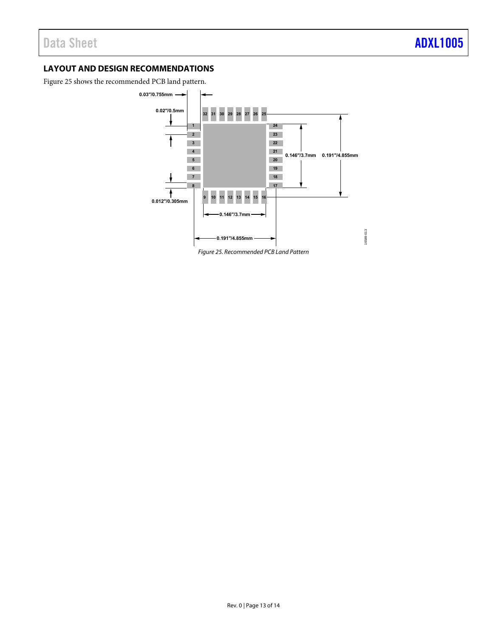### <span id="page-12-0"></span>**LAYOUT AND DESIGN RECOMMENDATIONS**

<span id="page-12-1"></span>[Figure 25 s](#page-12-1)hows the recommended PCB land pattern.